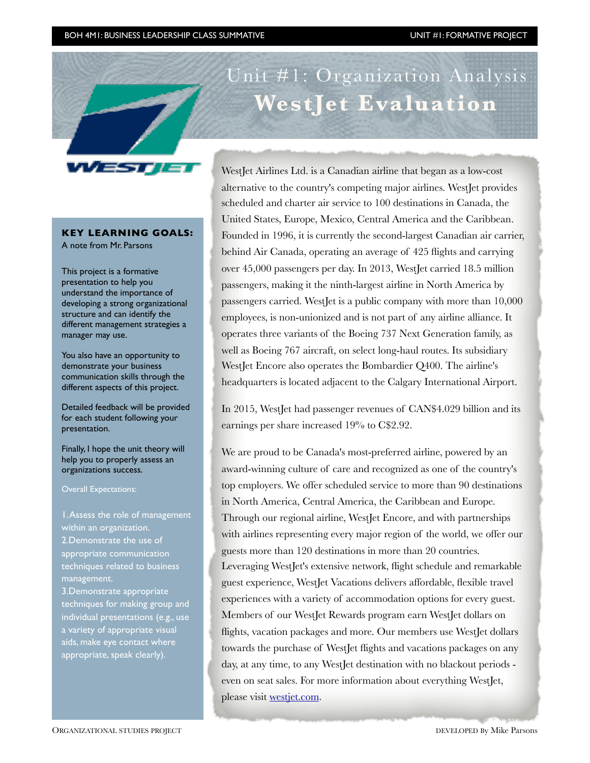

## **KEY LEARNING GOALS:**

A note from Mr. Parsons

This project is a formative presentation to help you understand the importance of developing a strong organizational structure and can identify the different management strategies a manager may use.

You also have an opportunity to demonstrate your business communication skills through the different aspects of this project.

Detailed feedback will be provided for each student following your presentation.

Finally, I hope the unit theory will help you to properly assess an organizations success.

Overall Expectations:

1. Assess the role of management within an organization. 2.Demonstrate the use of appropriate communication techniques related to business management.

3.Demonstrate appropriate techniques for making group and individual presentations (e.g., use a variety of appropriate visual aids, make eye contact where appropriate, speak clearly).

West Jet Airlines Ltd. is a Canadian airline that began as a low-cost alternative to the country's competing major airlines. WestJet provides scheduled and charter air service to 100 destinations in Canada, the United States, Europe, Mexico, Central America and the Caribbean. Founded in 1996, it is currently the second-largest Canadian air carrier, behind Air Canada, operating an average of 425 flights and carrying over 45,000 passengers per day. In 2013, WestJet carried 18.5 million passengers, making it the ninth-largest airline in North America by passengers carried. WestJet is a public company with more than 10,000 employees, is non-unionized and is not part of any airline alliance. It operates three variants of the Boeing 737 Next Generation family, as well as Boeing 767 aircraft, on select long-haul routes. Its subsidiary WestJet Encore also operates the Bombardier Q400. The airline's headquarters is located adjacent to the Calgary International Airport.

**WestJet Evaluation**

In 2015, WestJet had passenger revenues of CAN\$4.029 billion and its earnings per share increased 19% to C\$2.92.

We are proud to be Canada's most-preferred airline, powered by an award-winning culture of care and recognized as one of the country's top employers. We offer scheduled service to more than 90 destinations in North America, Central America, the Caribbean and Europe. Through our regional airline, WestJet Encore, and with partnerships with airlines representing every major region of the world, we offer our guests more than 120 destinations in more than 20 countries. Leveraging WestJet's extensive network, flight schedule and remarkable guest experience, WestJet Vacations delivers affordable, flexible travel experiences with a variety of accommodation options for every guest. Members of our WestJet Rewards program earn WestJet dollars on flights, vacation packages and more. Our members use WestJet dollars towards the purchase of WestJet flights and vacations packages on any day, at any time, to any WestJet destination with no blackout periods even on seat sales. For more information about everything WestJet, please visit [westjet.com](http://westjet.com).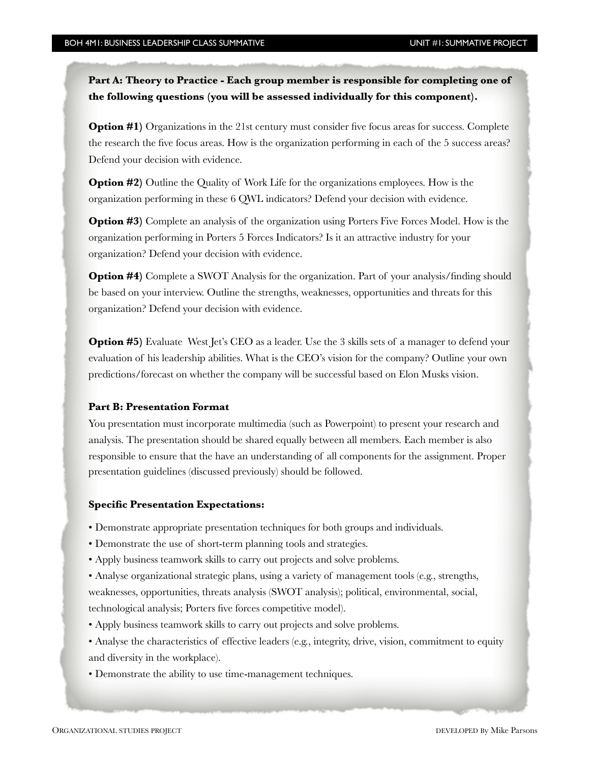**Part A: Theory to Practice - Each group member is responsible for completing one of the following questions (you will be assessed individually for this component).** 

**Option #1)** Organizations in the 21st century must consider five focus areas for success. Complete the research the five focus areas. How is the organization performing in each of the 5 success areas? Defend your decision with evidence.

**Option #2)** Outline the Quality of Work Life for the organizations employees. How is the organization performing in these 6 QWL indicators? Defend your decision with evidence.

**Option #3)** Complete an analysis of the organization using Porters Five Forces Model. How is the organization performing in Porters 5 Forces Indicators? Is it an attractive industry for your organization? Defend your decision with evidence.

**Option #4)** Complete a SWOT Analysis for the organization. Part of your analysis/finding should be based on your interview. Outline the strengths, weaknesses, opportunities and threats for this organization? Defend your decision with evidence.

**Option #5)** Evaluate West Jet's CEO as a leader. Use the 3 skills sets of a manager to defend your evaluation of his leadership abilities. What is the CEO's vision for the company? Outline your own predictions/forecast on whether the company will be successful based on Elon Musks vision.

#### **Part B: Presentation Format**

You presentation must incorporate multimedia (such as Powerpoint) to present your research and analysis. The presentation should be shared equally between all members. Each member is also responsible to ensure that the have an understanding of all components for the assignment. Proper presentation guidelines (discussed previously) should be followed.

#### **Specific Presentation Expectations:**

- Demonstrate appropriate presentation techniques for both groups and individuals.
- Demonstrate the use of short-term planning tools and strategies.
- Apply business teamwork skills to carry out projects and solve problems.

• Analyse organizational strategic plans, using a variety of management tools (e.g., strengths, weaknesses, opportunities, threats analysis (SWOT analysis); political, environmental, social, technological analysis; Porters five forces competitive model).

- Apply business teamwork skills to carry out projects and solve problems.
- Analyse the characteristics of effective leaders (e.g., integrity, drive, vision, commitment to equity and diversity in the workplace).
- Demonstrate the ability to use time-management techniques.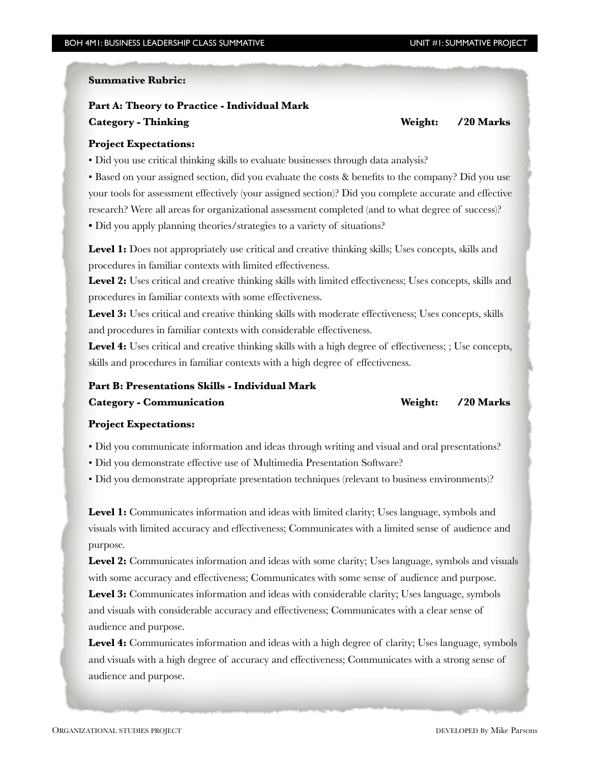#### **Summative Rubric:**

## **Part A: Theory to Practice - Individual Mark Category - Thinking Weight: /20 Marks**

#### **Project Expectations:**

• Did you use critical thinking skills to evaluate businesses through data analysis?

• Based on your assigned section, did you evaluate the costs & benefits to the company? Did you use your tools for assessment effectively (your assigned section)? Did you complete accurate and effective research? Were all areas for organizational assessment completed (and to what degree of success)? • Did you apply planning theories/strategies to a variety of situations?

Level 1: Does not appropriately use critical and creative thinking skills; Uses concepts, skills and procedures in familiar contexts with limited effectiveness.

Level 2: Uses critical and creative thinking skills with limited effectiveness; Uses concepts, skills and procedures in familiar contexts with some effectiveness.

Level 3: Uses critical and creative thinking skills with moderate effectiveness; Uses concepts, skills and procedures in familiar contexts with considerable effectiveness.

Level 4: Uses critical and creative thinking skills with a high degree of effectiveness; ; Use concepts, skills and procedures in familiar contexts with a high degree of effectiveness.

# **Part B: Presentations Skills - Individual Mark**

**Category - Communication Weight: /20 Marks** 

#### **Project Expectations:**

• Did you communicate information and ideas through writing and visual and oral presentations?

• Did you demonstrate effective use of Multimedia Presentation Software?

• Did you demonstrate appropriate presentation techniques (relevant to business environments)?

Level 1: Communicates information and ideas with limited clarity; Uses language, symbols and visuals with limited accuracy and effectiveness; Communicates with a limited sense of audience and purpose.

Level 2: Communicates information and ideas with some clarity; Uses language, symbols and visuals with some accuracy and effectiveness; Communicates with some sense of audience and purpose.

Level 3: Communicates information and ideas with considerable clarity; Uses language, symbols and visuals with considerable accuracy and effectiveness; Communicates with a clear sense of audience and purpose.

**Level 4:** Communicates information and ideas with a high degree of clarity; Uses language, symbols and visuals with a high degree of accuracy and effectiveness; Communicates with a strong sense of audience and purpose.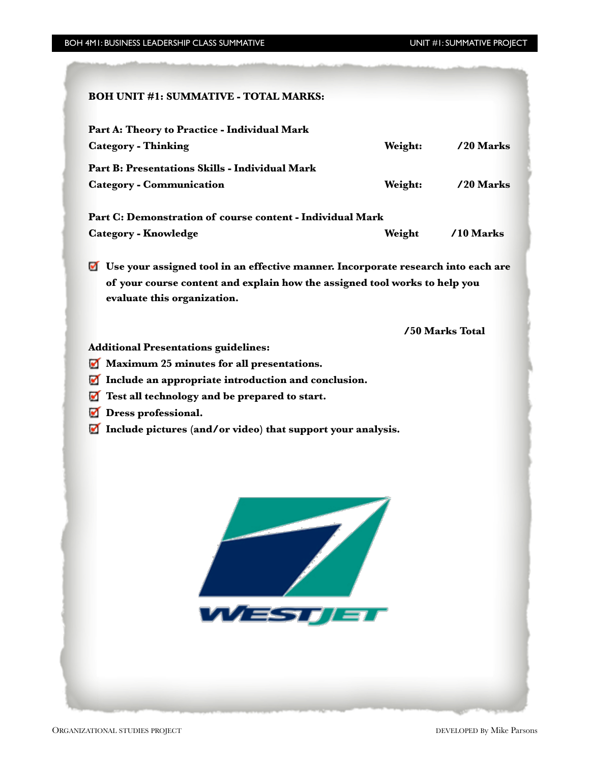# **BOH UNIT #1: SUMMATIVE - TOTAL MARKS: Part A: Theory to Practice - Individual Mark**  Category - Thinking **Category - Thinking** *Category - Thinking Marks Meight: /20 Marks* **Part B: Presentations Skills - Individual Mark**  Category - Communication *Neight:* /20 Marks **Part C: Demonstration of course content - Individual Mark**  Category - Knowledge **Branch Category - Knowledge** *Neight* /10 Marks **Use your assigned tool in an effective manner. Incorporate research into each are of your course content and explain how the assigned tool works to help you evaluate this organization. /50 Marks Total Additional Presentations guidelines: Maximum 25 minutes for all presentations. Include an appropriate introduction and conclusion. Test all technology and be prepared to start. Dress professional. Include pictures (and/or video) that support your analysis.**WESTALE